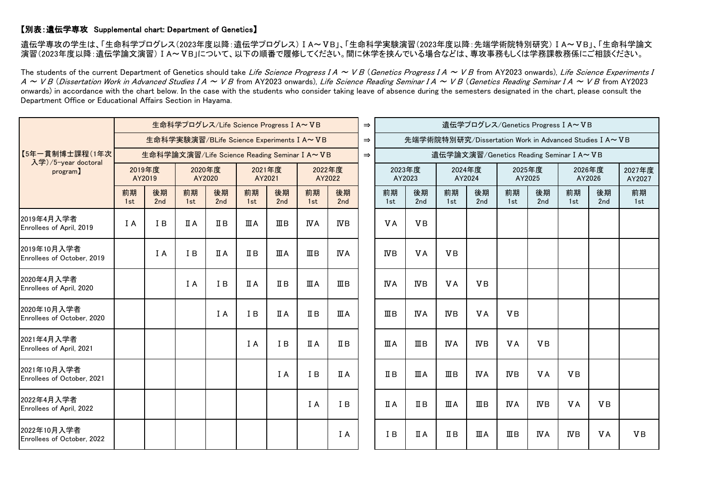## 【別表:遺伝学専攻 Supplemental chart: Department of Genetics】

遺伝学専攻の学生は、「生命科学プログレス(2023年度以降:遺伝学プログレス) I A~VB」、「生命科学実験演習(2023年度以降:先端学術院特別研究) I A~VB」、「生命科学論文 演習(2023年度以降:遺伝学論文演習)ⅠA~ⅤB」について、以下の順番で履修してください。間に休学を挟んでいる場合などは、専攻事務もしくは学務課教務係にご相談ください。

The students of the current Department of Genetics should take Life Science Progress  $IA \sim VB$  (Genetics Progress  $IA \sim VB$  from AY2023 onwards), Life Science Experiments I  $A \sim VB$  (Dissertation Work in Advanced Studies IA  $\sim VB$  from AY2023 onwards), Life Science Reading Seminar IA  $\sim VB$  (Genetics Reading Seminar IA  $\sim VB$  from AY2023 onwards) in accordance with the chart below. In the case with the students who consider taking leave of absence during the semesters designated in the chart, please consult the Department Office or Educational Affairs Section in Hayama.

| 【5年一貫制博士課程(1年次<br>入学)/5-year doctoral<br>program) | 生命科学プログレス/Life Science Progress I A~VB       |           |                  |              |                  |                           |                   |                       |  | 遺伝学プログレス/Genetics Progress I A~VB                      |            |                  |                       |                  |            |                  |           |                  |  |
|---------------------------------------------------|----------------------------------------------|-----------|------------------|--------------|------------------|---------------------------|-------------------|-----------------------|--|--------------------------------------------------------|------------|------------------|-----------------------|------------------|------------|------------------|-----------|------------------|--|
|                                                   | 生命科学実験演習/BLife Science Experiments I A~VB    |           |                  |              |                  |                           |                   |                       |  | 先端学術院特別研究/Dissertation Work in Advanced Studies I A~VB |            |                  |                       |                  |            |                  |           |                  |  |
|                                                   | 生命科学論文演習/Life Science Reading Seminar I A~VB |           |                  |              |                  |                           |                   |                       |  | 遺伝学論文演習/Genetics Reading Seminar I A~VB                |            |                  |                       |                  |            |                  |           |                  |  |
|                                                   | 2019年度<br>AY2019                             |           | 2020年度<br>AY2020 |              | 2021年度<br>AY2021 |                           | 2022年度<br>AY2022  |                       |  | 2023年度<br>AY2023                                       |            | 2024年度<br>AY2024 |                       | 2025年度<br>AY2025 |            | 2026年度<br>AY2026 |           | 2027年度<br>AY2027 |  |
|                                                   | 前期<br>1st                                    | 後期<br>2nd | 前期<br>1st        | 後期<br>2nd    | 前期<br>1st        | 後期<br>2nd                 | 前期<br>1st         | 後期<br>2 <sub>nd</sub> |  | 前期<br>1st                                              | 後期<br>2nd  | 前期<br>1st        | 後期<br>2 <sub>nd</sub> | 前期<br>1st        | 後期<br>2nd  | 前期<br>1st        | 後期<br>2nd | 前期<br>1st        |  |
| 2019年4月入学者<br>Enrollees of April, 2019            | I A                                          | I B       | ПA               | $I\!I\!I\!I$ | ШA               | $\mathbf{I}$ II B         | <b>IVA</b>        | ΝB                    |  | <b>VA</b>                                              | <b>VB</b>  |                  |                       |                  |            |                  |           |                  |  |
| 2019年10月入学者<br>Enrollees of October, 2019         |                                              | I A       | I B              | ПA           | IІВ              | ШA                        | $\mathbf{I}$ II B | <b>NA</b>             |  | ΝB                                                     | <b>VA</b>  | <b>VB</b>        |                       |                  |            |                  |           |                  |  |
| 2020年4月入学者<br>Enrollees of April, 2020            |                                              |           | I A              | I B          | ПA               | $I\!I\!I\!I$              | ШA                | $\mathbb{I}$ B        |  | <b>NA</b>                                              | ΝB         | <b>VA</b>        | <b>VB</b>             |                  |            |                  |           |                  |  |
| 2020年10月入学者<br>Enrollees of October, 2020         |                                              |           |                  | I A          | I B              | $\overline{\mathbf{u}}$ A | $I\!I B$          | ШA                    |  | ШB                                                     | <b>IVA</b> | $_{\text{WB}}$   | <b>VA</b>             | <b>VB</b>        |            |                  |           |                  |  |
| 2021年4月入学者<br>Enrollees of April, 2021            |                                              |           |                  |              | I A              | I B                       | <b>ΠA</b>         | $I\!I B$              |  | ШA                                                     | ШB         | ΙVΑ              | ΝB                    | <b>VA</b>        | <b>VB</b>  |                  |           |                  |  |
| 2021年10月入学者<br>Enrollees of October, 2021         |                                              |           |                  |              |                  | I A                       | I B               | ΠA                    |  | $I\!I B$                                               | ШA         | $\mathbb{I}$ B   | <b>IVA</b>            | ΝB               | <b>VA</b>  | <b>VB</b>        |           |                  |  |
| 2022年4月入学者<br>Enrollees of April, 2022            |                                              |           |                  |              |                  |                           | I A               | I B                   |  | <b>ΠA</b>                                              | $I\!I B$   | ШA               | $\mathbb{I}$ B        | IVΑ              | ΝB         | <b>VA</b>        | <b>VB</b> |                  |  |
| 2022年10月入学者<br>Enrollees of October, 2022         |                                              |           |                  |              |                  |                           |                   | I A                   |  | I B                                                    | ΠA         | $I\!I B$         | ШA                    | ШB               | <b>IVA</b> | $_{\text{IVB}}$  | VA        | <b>VB</b>        |  |